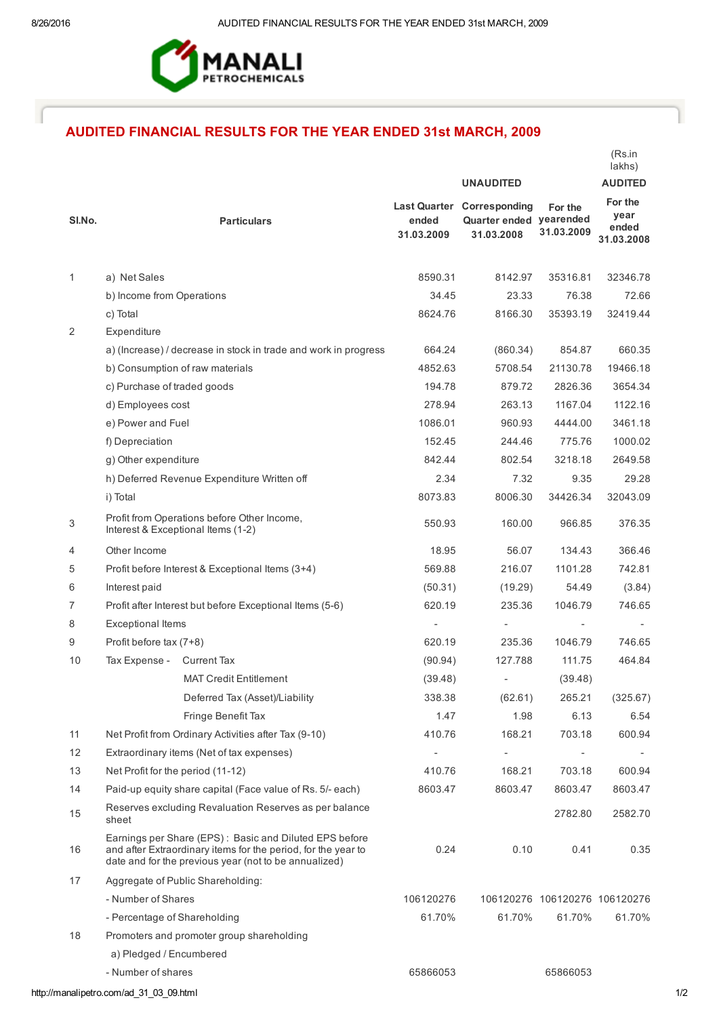

# AUDITED FINANCIAL RESULTS FOR THE YEAR ENDED 31st MARCH, 2009

|                |                                                                                                                                                                                  |                     |                                                                            |                               | lakhs)                                 |
|----------------|----------------------------------------------------------------------------------------------------------------------------------------------------------------------------------|---------------------|----------------------------------------------------------------------------|-------------------------------|----------------------------------------|
|                |                                                                                                                                                                                  | <b>UNAUDITED</b>    |                                                                            |                               | <b>AUDITED</b>                         |
| SI.No.         | <b>Particulars</b>                                                                                                                                                               | ended<br>31.03.2009 | <b>Last Quarter Corresponding</b><br>Quarter ended yearended<br>31.03.2008 | For the<br>31.03.2009         | For the<br>year<br>ended<br>31.03.2008 |
| 1              | a) Net Sales                                                                                                                                                                     | 8590.31             | 8142.97                                                                    | 35316.81                      | 32346.78                               |
|                | b) Income from Operations                                                                                                                                                        | 34.45               | 23.33                                                                      | 76.38                         | 72.66                                  |
|                | c) Total                                                                                                                                                                         | 8624.76             | 8166.30                                                                    | 35393.19                      | 32419.44                               |
| 2              | Expenditure                                                                                                                                                                      |                     |                                                                            |                               |                                        |
|                | a) (Increase) / decrease in stock in trade and work in progress                                                                                                                  | 664.24              | (860.34)                                                                   | 854.87                        | 660.35                                 |
|                | b) Consumption of raw materials                                                                                                                                                  | 4852.63             | 5708.54                                                                    | 21130.78                      | 19466.18                               |
|                | c) Purchase of traded goods                                                                                                                                                      | 194.78              | 879.72                                                                     | 2826.36                       | 3654.34                                |
|                | d) Employees cost                                                                                                                                                                | 278.94              | 263.13                                                                     | 1167.04                       | 1122.16                                |
|                | e) Power and Fuel                                                                                                                                                                | 1086.01             | 960.93                                                                     | 4444.00                       | 3461.18                                |
|                | f) Depreciation                                                                                                                                                                  | 152.45              | 244.46                                                                     | 775.76                        | 1000.02                                |
|                | g) Other expenditure                                                                                                                                                             | 842.44              | 802.54                                                                     | 3218.18                       | 2649.58                                |
|                | h) Deferred Revenue Expenditure Written off                                                                                                                                      | 2.34                | 7.32                                                                       | 9.35                          | 29.28                                  |
|                | i) Total                                                                                                                                                                         | 8073.83             | 8006.30                                                                    | 34426.34                      | 32043.09                               |
| 3              | Profit from Operations before Other Income,<br>Interest & Exceptional Items (1-2)                                                                                                | 550.93              | 160.00                                                                     | 966.85                        | 376.35                                 |
| 4              | Other Income                                                                                                                                                                     | 18.95               | 56.07                                                                      | 134.43                        | 366.46                                 |
| 5              | Profit before Interest & Exceptional Items (3+4)                                                                                                                                 | 569.88              | 216.07                                                                     | 1101.28                       | 742.81                                 |
| 6              | Interest paid                                                                                                                                                                    | (50.31)             | (19.29)                                                                    | 54.49                         | (3.84)                                 |
| $\overline{7}$ | Profit after Interest but before Exceptional Items (5-6)                                                                                                                         | 620.19              | 235.36                                                                     | 1046.79                       | 746.65                                 |
| 8              | <b>Exceptional Items</b>                                                                                                                                                         |                     |                                                                            |                               |                                        |
| 9              | Profit before tax (7+8)                                                                                                                                                          | 620.19              | 235.36                                                                     | 1046.79                       | 746.65                                 |
| 10             | Tax Expense -<br><b>Current Tax</b>                                                                                                                                              | (90.94)             | 127.788                                                                    | 111.75                        | 464.84                                 |
|                | <b>MAT Credit Entitlement</b>                                                                                                                                                    | (39.48)             |                                                                            | (39.48)                       |                                        |
|                | Deferred Tax (Asset)/Liability                                                                                                                                                   | 338.38              | (62.61)                                                                    | 265.21                        | (325.67)                               |
|                | Fringe Benefit Tax                                                                                                                                                               | 1.47                | 1.98                                                                       | 6.13                          | 6.54                                   |
| 11             | Net Profit from Ordinary Activities after Tax (9-10)                                                                                                                             | 410.76              | 168.21                                                                     | 703.18                        | 600.94                                 |
| 12             | Extraordinary items (Net of tax expenses)                                                                                                                                        |                     | $\overline{\phantom{a}}$                                                   |                               |                                        |
| 13             | Net Profit for the period (11-12)                                                                                                                                                | 410.76              | 168.21                                                                     | 703.18                        | 600.94                                 |
| 14             | Paid-up equity share capital (Face value of Rs. 5/- each)                                                                                                                        | 8603.47             | 8603.47                                                                    | 8603.47                       | 8603.47                                |
| 15             | Reserves excluding Revaluation Reserves as per balance<br>sheet                                                                                                                  |                     |                                                                            | 2782.80                       | 2582.70                                |
| 16             | Earnings per Share (EPS): Basic and Diluted EPS before<br>and after Extraordinary items for the period, for the year to<br>date and for the previous year (not to be annualized) | 0.24                | 0.10                                                                       | 0.41                          | 0.35                                   |
| 17             | Aggregate of Public Shareholding:                                                                                                                                                |                     |                                                                            |                               |                                        |
|                | - Number of Shares                                                                                                                                                               | 106120276           |                                                                            | 106120276 106120276 106120276 |                                        |
|                | - Percentage of Shareholding                                                                                                                                                     | 61.70%              | 61.70%                                                                     | 61.70%                        | 61.70%                                 |
| 18             | Promoters and promoter group shareholding                                                                                                                                        |                     |                                                                            |                               |                                        |
|                | a) Pledged / Encumbered                                                                                                                                                          |                     |                                                                            |                               |                                        |
|                | - Number of shares                                                                                                                                                               | 65866053            |                                                                            | 65866053                      |                                        |

(Rs.in